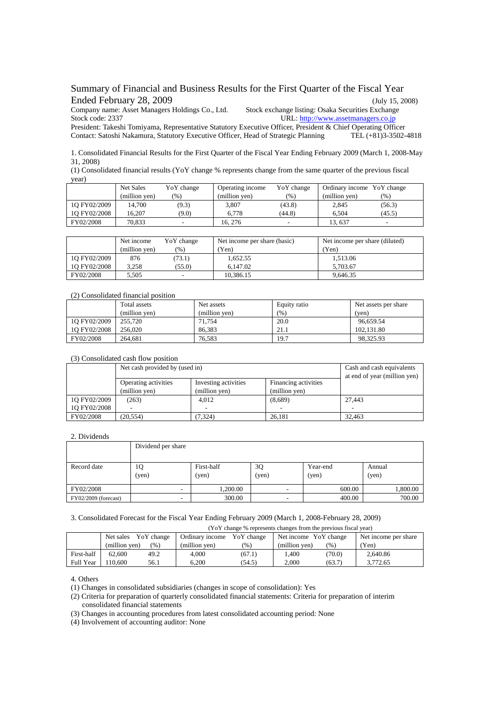Summary of Financial and Business Results for the First Quarter of the Fiscal Year Ended February 28, 2009 (July 15, 2008)

Company name: Asset Mana[ge](http://www.assetmanagers.co.jp/)rs Holdings Co., Ltd. Stock exchange listing: Osaka Securities Exchange

President: Takeshi Tomiyama, Representative Statutory Executive Officer, President & Chief Operating Officer Contact: Satoshi Nakamura, Statutory Executive Officer, Head of Strategic Planning TEL (+81)3-3502-4818

1. Consolidated Financial Results for the First Quarter of the Fiscal Year Ending February 2009 (March 1, 2008-May 31, 2008)

(1) Consolidated financial results (YoY change % represents change from the same quarter of the previous fiscal year)

|              | <b>Net Sales</b> | YoY change | Operating income | YoY change | Ordinary income YoY change |        |
|--------------|------------------|------------|------------------|------------|----------------------------|--------|
|              | (million ven)    | (%)        | (million ven)    | $(\% )$    | (million ven)              | $(\%)$ |
| 10 FY02/2009 | 14.700           | (9.3)      | 3.807            | (43.8)     | 2.845                      | (56.3) |
| 10 FY02/2008 | 16.207           | (9.0)      | 6.778            | (44.8)     | 6.504                      | (45.5) |
| FY02/2008    | 70.833           | $\sim$     | 16.276           | -          | 13.637                     | -      |

|              | Net income    | YoY change | Net income per share (basic) | Net income per share (diluted) |
|--------------|---------------|------------|------------------------------|--------------------------------|
|              | (million ven) | (%)        | Yen)                         | 'Yen)                          |
| 10 FY02/2009 | 876           | (73.1)     | 1.652.55                     | 1.513.06                       |
| 10 FY02/2008 | 3.258         | (55.0)     | 6.147.02                     | 5.703.67                       |
| FY02/2008    | 5.505         |            | 10.386.15                    | 9.646.35                       |

(2) Consolidated financial position

|              | Total assets<br>(million yen) | Net assets<br>(million yen) | Equity ratio<br>(96) | Net assets per share<br>(ven) |
|--------------|-------------------------------|-----------------------------|----------------------|-------------------------------|
| 1Q FY02/2009 | 255,720                       | 71.754                      | 20.0                 | 96.659.54                     |
| 1O FY02/2008 | 256.020                       | 86.383                      | 21.1                 | 102.131.80                    |
| FY02/2008    | 264.681                       | 76.583                      | 19.7                 | 98.325.93                     |

## (3) Consolidated cash flow position

|              | Net cash provided by (used in) | Cash and cash equivalents<br>at end of year (million yen) |               |        |
|--------------|--------------------------------|-----------------------------------------------------------|---------------|--------|
|              | <b>Operating activities</b>    |                                                           |               |        |
|              | (million yen)                  | (million yen)                                             | (million yen) |        |
| 1Q FY02/2009 | (263)                          | 4,012                                                     | (8,689)       | 27,443 |
| 10 FY02/2008 |                                |                                                           |               |        |
| FY02/2008    | (20, 554)                      | 7.324)                                                    | 26.181        | 32.463 |

## 2. Dividends

|                        | Dividend per share       |                     |             |                   |                 |  |  |
|------------------------|--------------------------|---------------------|-------------|-------------------|-----------------|--|--|
| Record date            | 1Q<br>(yen)              | First-half<br>(yen) | 3Q<br>(yen) | Year-end<br>(yen) | Annual<br>(yen) |  |  |
| FY02/2008              | $\overline{\phantom{a}}$ | 1.200.00            | ۰           | 600.00            | 1,800.00        |  |  |
| $FY02/2009$ (forecast) |                          | 300.00              |             | 400.00            | 700.00          |  |  |

3. Consolidated Forecast for the Fiscal Year Ending February 2009 (March 1, 2008-February 28, 2009)

## (YoY change % represents changes from the previous fiscal year)

|            | Net sales YoY change |     | Ordinary income | YoY change | Net income YoY change |        | Net income per share |
|------------|----------------------|-----|-----------------|------------|-----------------------|--------|----------------------|
|            | (million ven)        | (%) | (million ven)   | (%)        | (million ven)         | (%)    | 'Yen)                |
| First-half | 49.2<br>62,600       |     | 4.000           | (67.1)     | 1.400                 | (70.0) | 2.640.86             |
| Full Year  | 110.600<br>56.1      |     | 6.200           | (54.5)     | 2.000                 | (63.7) | 3.772.65             |

4. Others

(1) Changes in consolidated subsidiaries (changes in scope of consolidation): Yes

(2) Criteria for preparation of quarterly consolidated financial statements: Criteria for preparation of interim consolidated financial statements

(3) Changes in accounting procedures from latest consolidated accounting period: None

(4) Involvement of accounting auditor: None

Stock code: 2337 URL: [http://www.assetmanagers.co.jp](http://www.assetmanagers.co.jp/)